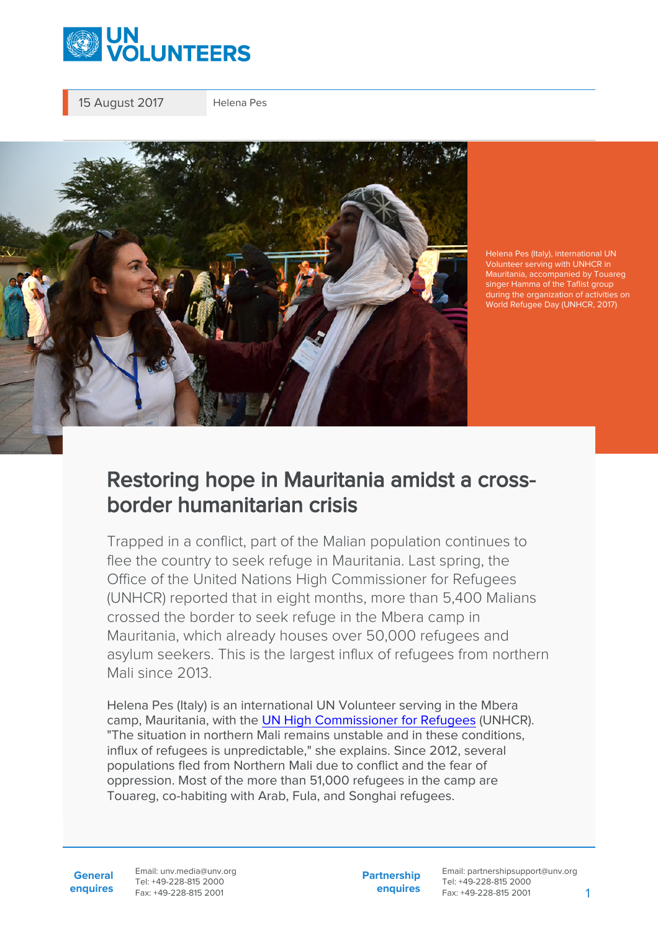

15 August 2017 Helena Pes



Helena Pes (Italy), international UN Volunteer serving with UNHCR in Mauritania, accompanied by Touareg singer Hamma of the Taflist group during the organization of activities on World Refugee Day (UNHCR, 2017)

## Restoring hope in Mauritania amidst a crossborder humanitarian crisis

Trapped in a conflict, part of the Malian population continues to flee the country to seek refuge in Mauritania. Last spring, the Office of the United Nations High Commissioner for Refugees (UNHCR) reported that in eight months, more than 5,400 Malians crossed the border to seek refuge in the Mbera camp in Mauritania, which already houses over 50,000 refugees and asylum seekers. This is the largest influx of refugees from northern Mali since 2013.

Helena Pes (Italy) is an international UN Volunteer serving in the Mbera camp, Mauritania, with the [UN High Commissioner for Refugees](https://reporting.unhcr.org:443/mauritania) (UNHCR). "The situation in northern Mali remains unstable and in these conditions, influx of refugees is unpredictable," she explains. Since 2012, several populations fled from Northern Mali due to conflict and the fear of oppression. Most of the more than 51,000 refugees in the camp are Touareg, co-habiting with Arab, Fula, and Songhai refugees.

**General enquires** Email: unv.media@unv.org Tel: +49-228-815 2000 Fax: +49-228-815 2001

**Partnership enquires** Email: partnershipsupport@unv.org Tel: +49-228-815 2000 Fax: +49-228-815 2001 1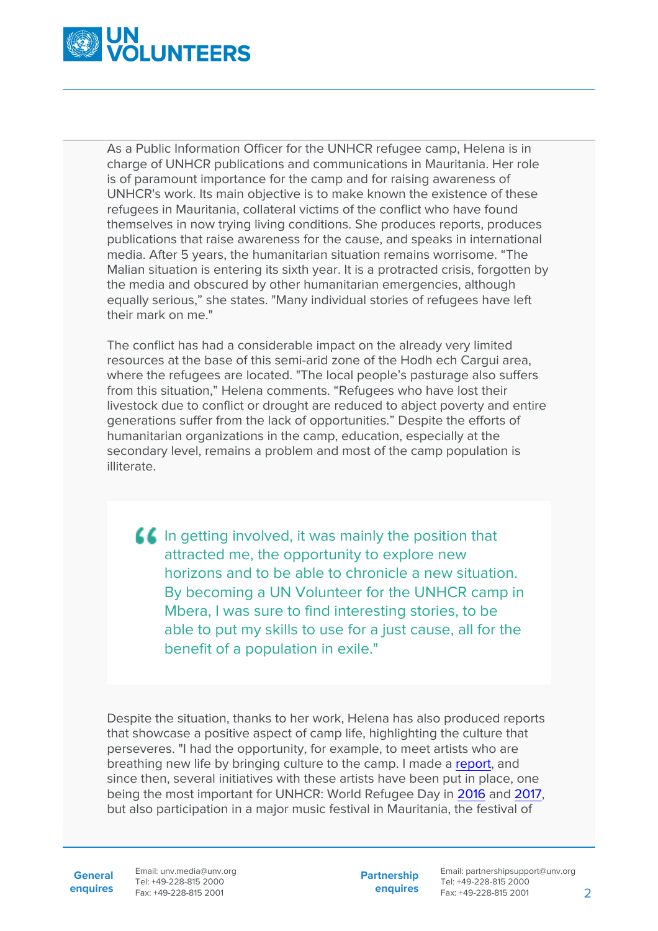

As a Public Information Officer for the UNHCR refugee camp, Helena is in charge of UNHCR publications and communications in Mauritania. Her role is of paramount importance for the camp and for raising awareness of UNHCR's work. Its main objective is to make known the existence of these refugees in Mauritania, collateral victims of the conflict who have found themselves in now trying living conditions. She produces reports, produces publications that raise awareness for the cause, and speaks in international media. After 5 years, the humanitarian situation remains worrisome. "The Malian situation is entering its sixth year. It is a protracted crisis, forgotten by the media and obscured by other humanitarian emergencies, although equally serious," she states. "Many individual stories of refugees have left their mark on me."

The conflict has had a considerable impact on the already very limited resources at the base of this semi-arid zone of the Hodh ech Cargui area, where the refugees are located. "The local people's pasturage also suffers from this situation," Helena comments. "Refugees who have lost their livestock due to conflict or drought are reduced to abject poverty and entire generations suffer from the lack of opportunities." Despite the efforts of humanitarian organizations in the camp, education, especially at the secondary level, remains a problem and most of the camp population is illiterate.

 $\blacksquare$  In getting involved, it was mainly the position that attracted me, the opportunity to explore new horizons and to be able to chronicle a new situation. By becoming a UN Volunteer for the UNHCR camp in Mbera, I was sure to find interesting stories, to be able to put my skills to use for a just cause, all for the benefit of a population in exile."

Despite the situation, thanks to her work, Helena has also produced reports that showcase a positive aspect of camp life, highlighting the culture that perseveres. "I had the opportunity, for example, to meet artists who are breathing new life by bringing culture to the camp. I made a [report](https://www.unhcr.org/news/stories/2015/11/56ec1ead19/songs-of-love-and-exile-in-the-sahara.html?ref=tracks), and since then, several initiatives with these artists have been put in place, one being the most important for UNHCR: World Refugee Day in [2016](https://institutfrancais-mauritanie.com/vivre-lexil-journee-mondiale-des-refugies-2016/) and [2017](https://www.youtube.com/watch?v=iiiUFxrWIEg), but also participation in a major music festival in Mauritania, the festival of

**General**

**enquires** Tel: +49-228-815 2000 Fax: +49-228-815 2001 Email: unv.media@unv.org<br>Tel: +49-228-815 2000

**Partnership enquires** Email: partnershipsupport@unv.org Tel: +49-228-815 2000 Fax: +49-228-815 2001 2